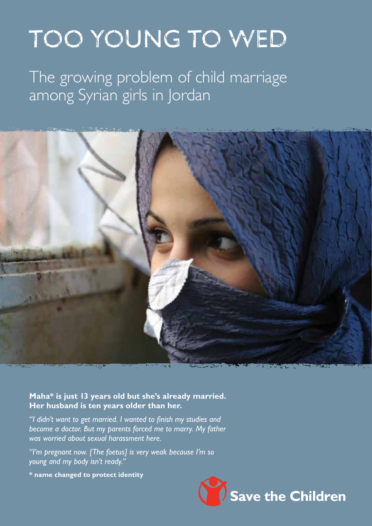# TOO YOUNG TO WED

The growing problem of child marriage among Syrian girls in Jordan



**Maha\* is just 13 years old but she's already married. Her husband is ten years older than her.**

*"I didn't want to get married. I wanted to finish my studies and become a doctor. But my parents forced me to marry. My father was worried about sexual harassment here.*

*"I'm pregnant now. [The foetus] is very weak because I'm so young and my body isn't ready."*

**\* name changed to protect identity**

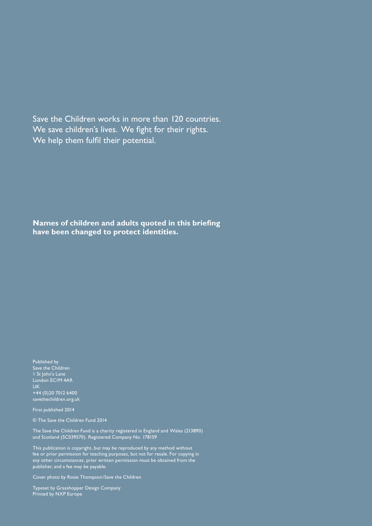Save the Children works in more than 120 countries. We save children's lives. We fight for their rights. We help them fulfil their potential.

**Names of children and adults quoted in this briefing have been changed to protect identities.** 

Published by Save the Children 1 St John's Lane London EC1M 4AR **UK** +44 (0)20 7012 6400 savethechildren.org.uk

First published 2014

© The Save the Children Fund 2014

The Save the Children Fund is a charity registered in England and Wales (213890) and Scotland (SC039570). Registered Company No. 178159

This publication is copyright, but may be reproduced by any method without fee or prior permission for teaching purposes, but not for resale. For copying in any other circumstances, prior written permission must be obtained from the publisher, and a fee may be payable.

Cover photo by Rosie Thompson/Save the Children

Typeset by Grasshopper Design Company Printed by NXP Europe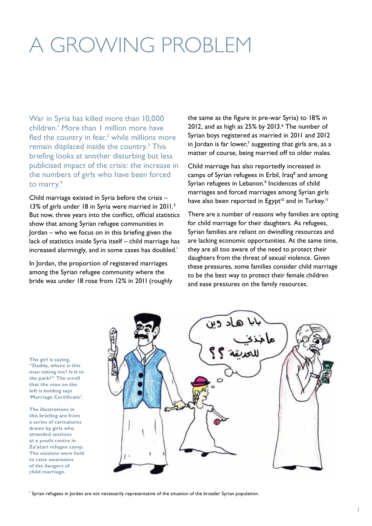## A GROWING PROBLEM

War in Syria has killed more than 10,000 children.<sup>1</sup> More than I million more have fled the country in fear, $2$  while millions more remain displaced inside the country.<sup>3</sup> This briefing looks at another disturbing but less publicised impact of the crisis: the increase in the numbers of girls who have been forced to marry.4

Child marriage existed in Syria before the crisis – 13% of girls under 18 in Syria were married in 2011.<sup>5</sup> But now, three years into the conflict, official statistics show that among Syrian refugee communities in Jordan – who we focus on in this briefing given the lack of statistics inside Syria itself – child marriage has increased alarmingly, and in some cases has doubled.\*

In Jordan, the proportion of registered marriages among the Syrian refugee community where the bride was under 18 rose from 12% in 2011 (roughly

the same as the figure in pre-war Syria) to 18% in  $2012$ , and as high as  $25\%$  by  $2013.^6$  The number of Syrian boys registered as married in 2011 and 2012 in Jordan is far lower,<sup>7</sup> suggesting that girls are, as a matter of course, being married off to older males.

Child marriage has also reportedly increased in camps of Syrian refugees in Erbil, Iraq<sup>8</sup> and among Syrian refugees in Lebanon.<sup>9</sup> Incidences of child marriages and forced marriages among Syrian girls have also been reported in Egypt<sup>10</sup> and in Turkey.<sup>11</sup>

There are a number of reasons why families are opting for child marriage for their daughters. As refugees, Syrian families are reliant on dwindling resources and are lacking economic opportunities. At the same time, they are all too aware of the need to protect their daughters from the threat of sexual violence. Given these pressures, some families consider child marriage to be the best way to protect their female children and ease pressures on the family resources.

**The girl is saying, "Daddy, where is this man taking me? Is it to the park?" The scroll that the man on the left is holding says 'Marriage Certificate'.** 

**The illustrations in this briefing are from a series of caricatures drawn by girls who attended sessions at a youth centre in Za'atari refugee camp. The sessions were held to raise awareness of the dangers of child marriage.**



\* Syrian refugees in Jordan are not necessarily representative of the situation of the broader Syrian population.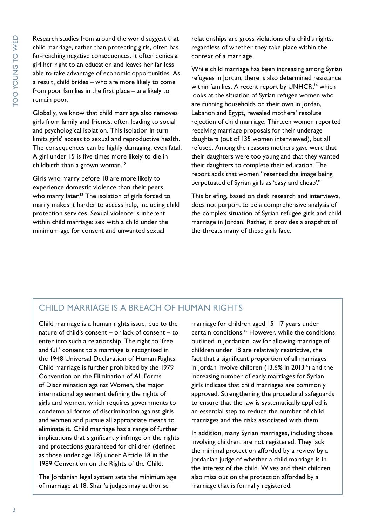Research studies from around the world suggest that child marriage, rather than protecting girls, often has far-reaching negative consequences. It often denies a girl her right to an education and leaves her far less able to take advantage of economic opportunities. As a result, child brides – who are more likely to come from poor families in the first place – are likely to remain poor.

Globally, we know that child marriage also removes girls from family and friends, often leading to social and psychological isolation. This isolation in turn limits girls' access to sexual and reproductive health. The consequences can be highly damaging, even fatal. A girl under 15 is five times more likely to die in childbirth than a grown woman.<sup>12</sup>

Girls who marry before 18 are more likely to experience domestic violence than their peers who marry later.<sup>13</sup> The isolation of girls forced to marry makes it harder to access help, including child protection services. Sexual violence is inherent within child marriage: sex with a child under the minimum age for consent and unwanted sexual

relationships are gross violations of a child's rights, regardless of whether they take place within the context of a marriage.

While child marriage has been increasing among Syrian refugees in Jordan, there is also determined resistance within families. A recent report by UNHCR,<sup>14</sup> which looks at the situation of Syrian refugee women who are running households on their own in Jordan, Lebanon and Egypt, revealed mothers' resolute rejection of child marriage. Thirteen women reported receiving marriage proposals for their underage daughters (out of 135 women interviewed), but all refused. Among the reasons mothers gave were that their daughters were too young and that they wanted their daughters to complete their education. The report adds that women "resented the image being perpetuated of Syrian girls as 'easy and cheap'."

This briefing, based on desk research and interviews, does not purport to be a comprehensive analysis of the complex situation of Syrian refugee girls and child marriage in Jordan. Rather, it provides a snapshot of the threats many of these girls face.

#### CHILD MARRIAGE IS A BREACH OF HUMAN RIGHTS

Child marriage is a human rights issue, due to the nature of child's consent – or lack of consent – to enter into such a relationship. The right to 'free and full' consent to a marriage is recognised in the 1948 Universal Declaration of Human Rights. Child marriage is further prohibited by the 1979 Convention on the Elimination of All Forms of Discrimination against Women, the major international agreement defining the rights of girls and women, which requires governments to condemn all forms of discrimination against girls and women and pursue all appropriate means to eliminate it. Child marriage has a range of further implications that significantly infringe on the rights and protections guaranteed for children (defined as those under age 18) under Article 18 in the 1989 Convention on the Rights of the Child.

The Jordanian legal system sets the minimum age of marriage at 18. Shari'a judges may authorise

marriage for children aged 15–17 years under certain conditions.15 However, while the conditions outlined in Jordanian law for allowing marriage of children under 18 are relatively restrictive, the fact that a significant proportion of all marriages in Jordan involve children  $(13.6\%$  in 2013<sup>16</sup>) and the increasing number of early marriages for Syrian girls indicate that child marriages are commonly approved. Strengthening the procedural safeguards to ensure that the law is systematically applied is an essential step to reduce the number of child marriages and the risks associated with them.

In addition, many Syrian marriages, including those involving children, are not registered. They lack the minimal protection afforded by a review by a Jordanian judge of whether a child marriage is in the interest of the child. Wives and their children also miss out on the protection afforded by a marriage that is formally registered.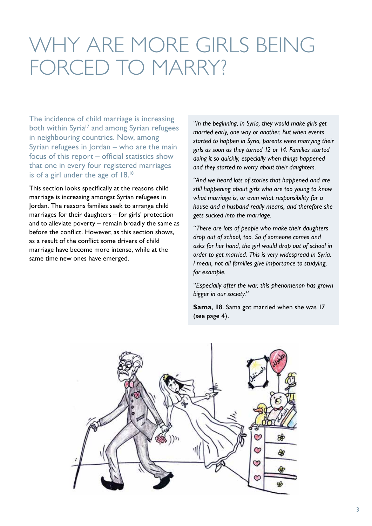### WHY ARE MORE GIRLS BEING FORCED TO MARRY?

The incidence of child marriage is increasing both within Syria<sup>17</sup> and among Syrian refugees in neighbouring countries. Now, among Syrian refugees in Jordan – who are the main focus of this report – official statistics show that one in every four registered marriages is of a girl under the age of 18.18

This section looks specifically at the reasons child marriage is increasing amongst Syrian refugees in Jordan. The reasons families seek to arrange child marriages for their daughters – for girls' protection and to alleviate poverty – remain broadly the same as before the conflict. However, as this section shows, as a result of the conflict some drivers of child marriage have become more intense, while at the same time new ones have emerged.

*"In the beginning, in Syria, they would make girls get married early, one way or another. But when events started to happen in Syria, parents were marrying their girls as soon as they turned 12 or 14. Families started doing it so quickly, especially when things happened and they started to worry about their daughters.*

*"And we heard lots of stories that happened and are still happening about girls who are too young to know what marriage is, or even what responsibility for a house and a husband really means, and therefore she gets sucked into the marriage.* 

*"There are lots of people who make their daughters drop out of school, too. So if someone comes and asks for her hand, the girl would drop out of school in order to get married. This is very widespread in Syria. I mean, not all families give importance to studying, for example.* 

*"Especially after the war, this phenomenon has grown bigger in our society."* 

**Sama**, **18**. Sama got married when she was 17 (see page 4).

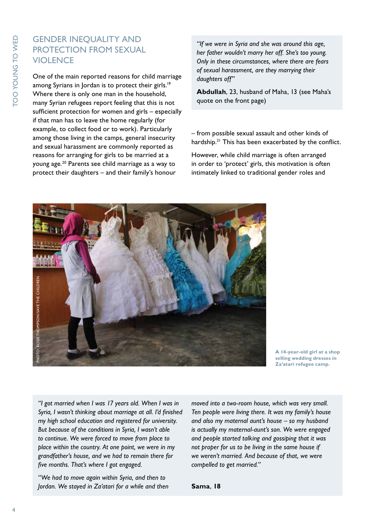#### GENDER INEQUALITY AND PROTECTION FROM SEXUAL VIOLENCE

One of the main reported reasons for child marriage among Syrians in Jordan is to protect their girls.<sup>19</sup> Where there is only one man in the household, many Syrian refugees report feeling that this is not sufficient protection for women and girls – especially if that man has to leave the home regularly (for example, to collect food or to work). Particularly among those living in the camps, general insecurity and sexual harassment are commonly reported as reasons for arranging for girls to be married at a young age.20 Parents see child marriage as a way to protect their daughters – and their family's honour

*"If we were in Syria and she was around this age, her father wouldn't marry her off. She's too young. Only in these circumstances, where there are fears of sexual harassment, are they marrying their daughters off"*

**Abdullah**, 23, husband of Maha, 13 (see Maha's quote on the front page)

– from possible sexual assault and other kinds of hardship.<sup>21</sup> This has been exacerbated by the conflict.

However, while child marriage is often arranged in order to 'protect' girls, this motivation is often intimately linked to traditional gender roles and



**A 14-year-old girl at a shop selling wedding dresses in Za'atari refugee camp.**

*"I got married when I was 17 years old. When I was in Syria, I wasn't thinking about marriage at all. I'd finished my high school education and registered for university. But because of the conditions in Syria, I wasn't able to continue. We were forced to move from place to place within the country. At one point, we were in my grandfather's house, and we had to remain there for five months. That's where I got engaged.* 

*"We had to move again within Syria, and then to Jordan. We stayed in Za'atari for a while and then*  *moved into a two-room house, which was very small. Ten people were living there. It was my family's house and also my maternal aunt's house – so my husband is actually my maternal-aunt's son. We were engaged and people started talking and gossiping that it was not proper for us to be living in the same house if we weren't married. And because of that, we were compelled to get married."*

**Sama**, **18**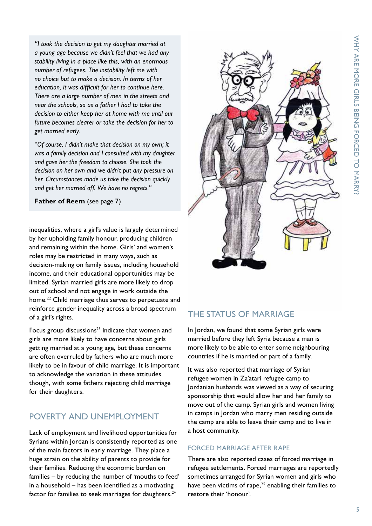*"I took the decision to get my daughter married at a young age because we didn't feel that we had any stability living in a place like this, with an enormous number of refugees. The instability left me with no choice but to make a decision. In terms of her education, it was difficult for her to continue here. There are a large number of men in the streets and near the schools, so as a father I had to take the decision to either keep her at home with me until our future becomes clearer or take the decision for her to get married early.*

*"Of course, I didn't make that decision on my own; it was a family decision and I consulted with my daughter and gave her the freedom to choose. She took the decision on her own and we didn't put any pressure on her. Circumstances made us take the decision quickly and get her married off. We have no regrets."*

**Father of Reem** (see page 7)

inequalities, where a girl's value is largely determined by her upholding family honour, producing children and remaining within the home. Girls' and women's roles may be restricted in many ways, such as decision-making on family issues, including household income, and their educational opportunities may be limited. Syrian married girls are more likely to drop out of school and not engage in work outside the home.<sup>22</sup> Child marriage thus serves to perpetuate and reinforce gender inequality across a broad spectrum of a girl's rights.

Focus group discussions $23$  indicate that women and girls are more likely to have concerns about girls getting married at a young age, but these concerns are often overruled by fathers who are much more likely to be in favour of child marriage. It is important to acknowledge the variation in these attitudes though, with some fathers rejecting child marriage for their daughters.

#### POVERTY AND UNEMPLOYMENT

Lack of employment and livelihood opportunities for Syrians within Jordan is consistently reported as one of the main factors in early marriage. They place a huge strain on the ability of parents to provide for their families. Reducing the economic burden on families – by reducing the number of 'mouths to feed' in a household – has been identified as a motivating factor for families to seek marriages for daughters.<sup>24</sup>



#### THE STATUS OF MARRIAGE

In Jordan, we found that some Syrian girls were married before they left Syria because a man is more likely to be able to enter some neighbouring countries if he is married or part of a family.

It was also reported that marriage of Syrian refugee women in Za'atari refugee camp to Jordanian husbands was viewed as a way of securing sponsorship that would allow her and her family to move out of the camp. Syrian girls and women living in camps in Jordan who marry men residing outside the camp are able to leave their camp and to live in a host community.

#### FORCED MARRIAGE AFTER RAPE

There are also reported cases of forced marriage in refugee settlements. Forced marriages are reportedly sometimes arranged for Syrian women and girls who have been victims of rape,<sup>25</sup> enabling their families to restore their 'honour'.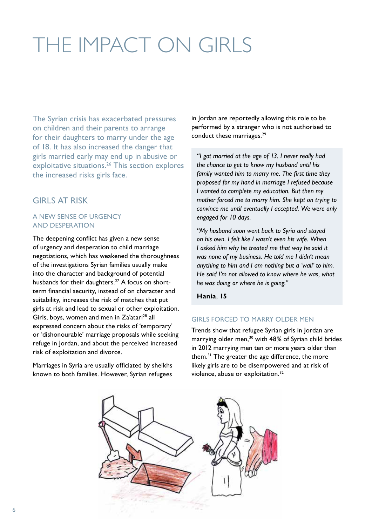## THE IMPACT ON GIRLS

The Syrian crisis has exacerbated pressures on children and their parents to arrange for their daughters to marry under the age of 18. It has also increased the danger that girls married early may end up in abusive or exploitative situations.<sup>26</sup> This section explores the increased risks girls face.

#### GIRLS AT RISK

#### A NEW SENSE OF URGENCY AND DESPERATION

The deepening conflict has given a new sense of urgency and desperation to child marriage negotiations, which has weakened the thoroughness of the investigations Syrian families usually make into the character and background of potential husbands for their daughters.<sup>27</sup> A focus on shortterm financial security, instead of on character and suitability, increases the risk of matches that put girls at risk and lead to sexual or other exploitation. Girls, boys, women and men in Za'atari<sup>28</sup> all expressed concern about the risks of 'temporary' or 'dishonourable' marriage proposals while seeking refuge in Jordan, and about the perceived increased risk of exploitation and divorce.

Marriages in Syria are usually officiated by sheikhs known to both families. However, Syrian refugees

in Jordan are reportedly allowing this role to be performed by a stranger who is not authorised to conduct these marriages.<sup>29</sup>

*"I got married at the age of 13. I never really had the chance to get to know my husband until his family wanted him to marry me. The first time they proposed for my hand in marriage I refused because I wanted to complete my education. But then my mother forced me to marry him. She kept on trying to convince me until eventually I accepted. We were only engaged for 10 days.* 

*"My husband soon went back to Syria and stayed on his own. I felt like I wasn't even his wife. When I asked him why he treated me that way he said it was none of my business. He told me I didn't mean anything to him and I am nothing but a 'wall' to him. He said I'm not allowed to know where he was, what he was doing or where he is going."*

**Hania**, **15**

#### GIRLS FORCED TO MARRY OLDER MEN

Trends show that refugee Syrian girls in Jordan are marrying older men,<sup>30</sup> with 48% of Syrian child brides in 2012 marrying men ten or more years older than them.31 The greater the age difference, the more likely girls are to be disempowered and at risk of violence, abuse or exploitation.<sup>32</sup>

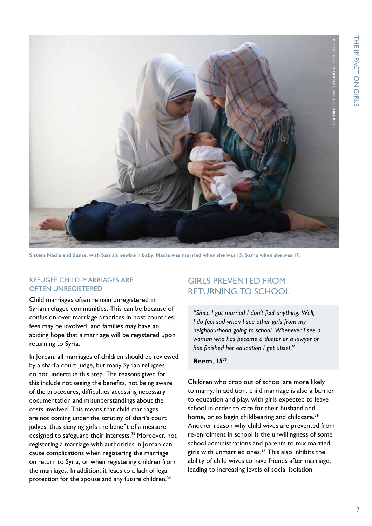

**Sisters Nadia and Sama, with Sama's newborn baby. Nadia was married when she was 15, Sama when she was 17.**

#### REFUGEE CHILD-MARRIAGES ARE OFTEN UNREGISTERED

Child marriages often remain unregistered in Syrian refugee communities. This can be because of confusion over marriage practices in host countries; fees may be involved; and families may have an abiding hope that a marriage will be registered upon returning to Syria.

In Jordan, all marriages of children should be reviewed by a shari'a court judge, but many Syrian refugees do not undertake this step. The reasons given for this include not seeing the benefits, not being aware of the procedures, difficulties accessing necessary documentation and misunderstandings about the costs involved. This means that child marriages are not coming under the scrutiny of shari'a court judges, thus denying girls the benefit of a measure designed to safeguard their interests.<sup>33</sup> Moreover, not registering a marriage with authorities in Jordan can cause complications when registering the marriage on return to Syria, or when registering children from the marriages. In addition, it leads to a lack of legal protection for the spouse and any future children.<sup>34</sup>

#### GIRLS PREVENTED FROM RETURNING TO SCHOOL

*"Since I got married I don't feel anything. Well, I do feel sad when I see other girls from my neighbourhood going to school. Whenever I see a woman who has become a doctor or a lawyer or has finished her education I get upset."* 

#### **Reem**, **15**<sup>35</sup>

Children who drop out of school are more likely to marry. In addition, child marriage is also a barrier to education and play, with girls expected to leave school in order to care for their husband and home, or to begin childbearing and childcare.<sup>36</sup> Another reason why child wives are prevented from re-enrolment in school is the unwillingness of some school administrations and parents to mix married girls with unmarried ones.37 This also inhibits the ability of child wives to have friends after marriage, leading to increasing levels of social isolation.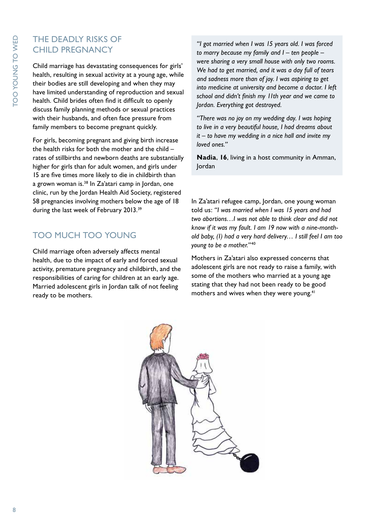#### THE DEADLY RISKS OF CHILD PREGNANCY

Child marriage has devastating consequences for girls' health, resulting in sexual activity at a young age, while their bodies are still developing and when they may have limited understanding of reproduction and sexual health. Child brides often find it difficult to openly discuss family planning methods or sexual practices with their husbands, and often face pressure from family members to become pregnant quickly.

For girls, becoming pregnant and giving birth increase the health risks for both the mother and the child – rates of stillbirths and newborn deaths are substantially higher for girls than for adult women, and girls under 15 are five times more likely to die in childbirth than a grown woman is.38 In Za'atari camp in Jordan, one clinic, run by the Jordan Health Aid Society, registered 58 pregnancies involving mothers below the age of 18 during the last week of February 2013.39

#### TOO MUCH TOO YOUNG

Child marriage often adversely affects mental health, due to the impact of early and forced sexual activity, premature pregnancy and childbirth, and the responsibilities of caring for children at an early age. Married adolescent girls in Jordan talk of not feeling ready to be mothers.

*"I got married when I was 15 years old. I was forced to marry because my family and I – ten people – were sharing a very small house with only two rooms. We had to get married, and it was a day full of tears and sadness more than of joy. I was aspiring to get into medicine at university and become a doctor. I left school and didn't finish my 11th year and we came to Jordan. Everything got destroyed.* 

*"There was no joy on my wedding day. I was hoping to live in a very beautiful house, I had dreams about it – to have my wedding in a nice hall and invite my loved ones."* 

**Nadia**, **16**, living in a host community in Amman, Jordan

In Za'atari refugee camp, Jordan, one young woman told us: *"I was married when I was 15 years and had two abortions…I was not able to think clear and did not know if it was my fault. I am 19 now with a nine-monthold baby, (I) had a very hard delivery… I still feel I am too young to be a mother."* <sup>40</sup>

Mothers in Za'atari also expressed concerns that adolescent girls are not ready to raise a family, with some of the mothers who married at a young age stating that they had not been ready to be good mothers and wives when they were young.<sup>41</sup>

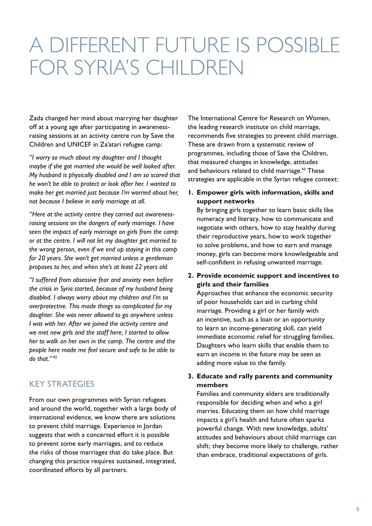### A DIFFERENT FUTURE IS POSSIBLE FOR SYRIA'S CHILDREN

Zada changed her mind about marrying her daughter off at a young age after participating in awarenessraising sessions at an activity centre run by Save the Children and UNICEF in Za'atari refugee camp:

*"I worry so much about my daughter and I thought maybe if she got married she would be well looked after. My husband is physically disabled and I am so scared that he won't be able to protect or look after her. I wanted to make her get married just because I'm worried about her, not because I believe in early marriage at all.* 

*"Here at the activity centre they carried out awarenessraising sessions on the dangers of early marriage. I have seen the impact of early marriage on girls from the camp or at the centre. I will not let my daughter get married to the wrong person, even if we end up staying in this camp for 20 years. She won't get married unless a gentleman proposes to her, and when she's at least 22 years old.* 

*"I suffered from obsessive fear and anxiety even before the crisis in Syria started, because of my husband being disabled. I always worry about my children and I'm so overprotective. This made things so complicated for my daughter. She was never allowed to go anywhere unless I was with her. After we joined the activity centre and we met new girls and the staff here, I started to allow her to walk on her own in the camp. The centre and the people here made me feel secure and safe to be able to do that."* <sup>42</sup>

#### KEY STRATEGIES

From our own programmes with Syrian refugees and around the world, together with a large body of international evidence, we know there are solutions to prevent child marriage. Experience in Jordan suggests that with a concerted effort it is possible to prevent some early marriages, and to reduce the risks of those marriages that do take place. But changing this practice requires sustained, integrated, coordinated efforts by all partners.

The International Centre for Research on Women, the leading research institute on child marriage, recommends five strategies to prevent child marriage. These are drawn from a systematic review of programmes, including those of Save the Children, that measured changes in knowledge, attitudes and behaviours related to child marriage.<sup>43</sup> These strategies are applicable in the Syrian refugee context:

**1. Empower girls with information, skills and support networks**

By bringing girls together to learn basic skills like numeracy and literacy, how to communicate and negotiate with others, how to stay healthy during their reproductive years, how to work together to solve problems, and how to earn and manage money, girls can become more knowledgeable and self-confident in refusing unwanted marriage.

**2. Provide economic support and incentives to girls and their families**

Approaches that enhance the economic security of poor households can aid in curbing child marriage. Providing a girl or her family with an incentive, such as a loan or an opportunity to learn an income-generating skill, can yield immediate economic relief for struggling families. Daughters who learn skills that enable them to earn an income in the future may be seen as adding more value to the family.

#### **3. Educate and rally parents and community members**

Families and community elders are traditionally responsible for deciding when and who a girl marries. Educating them on how child marriage impacts a girl's health and future often sparks powerful change. With new knowledge, adults' attitudes and behaviours about child marriage can shift; they become more likely to challenge, rather than embrace, traditional expectations of girls.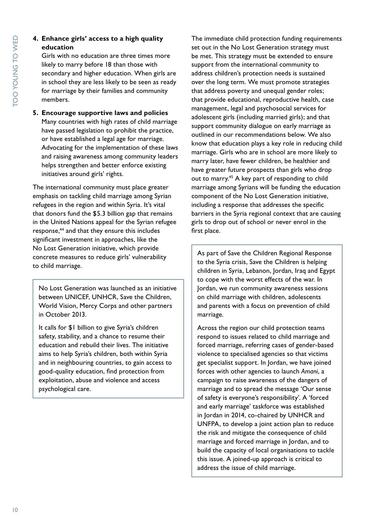#### **4. Enhance girls' access to a high quality education**

Girls with no education are three times more likely to marry before 18 than those with secondary and higher education. When girls are in school they are less likely to be seen as ready for marriage by their families and community members.

#### **5. Encourage supportive laws and policies** Many countries with high rates of child marriage have passed legislation to prohibit the practice, or have established a legal age for marriage. Advocating for the implementation of these laws and raising awareness among community leaders helps strengthen and better enforce existing initiatives around girls' rights.

The international community must place greater emphasis on tackling child marriage among Syrian refugees in the region and within Syria. It's vital that donors fund the \$5.3 billion gap that remains in the United Nations appeal for the Syrian refugee response,44 and that they ensure this includes significant investment in approaches, like the No Lost Generation initiative, which provide concrete measures to reduce girls' vulnerability to child marriage.

No Lost Generation was launched as an initiative between UNICEF, UNHCR, Save the Children, World Vision, Mercy Corps and other partners in October 2013.

It calls for \$1 billion to give Syria's children safety, stability, and a chance to resume their education and rebuild their lives. The initiative aims to help Syria's children, both within Syria and in neighbouring countries, to gain access to good-quality education, find protection from exploitation, abuse and violence and access psychological care.

The immediate child protection funding requirements set out in the No Lost Generation strategy must be met. This strategy must be extended to ensure support from the international community to address children's protection needs is sustained over the long term. We must promote strategies that address poverty and unequal gender roles; that provide educational, reproductive health, case management, legal and psychosocial services for adolescent girls (including married girls); and that support community dialogue on early marriage as outlined in our recommendations below. We also know that education plays a key role in reducing child marriage. Girls who are in school are more likely to marry later, have fewer children, be healthier and have greater future prospects than girls who drop out to marry.<sup>45</sup> A key part of responding to child marriage among Syrians will be funding the education component of the No Lost Generation initiative, including a response that addresses the specific barriers in the Syria regional context that are causing girls to drop out of school or never enrol in the first place.

As part of Save the Children Regional Response to the Syria crisis, Save the Children is helping children in Syria, Lebanon, Jordan, Iraq and Egypt to cope with the worst effects of the war. In Jordan, we run community awareness sessions on child marriage with children, adolescents and parents with a focus on prevention of child marriage.

Across the region our child protection teams respond to issues related to child marriage and forced marriage, referring cases of gender-based violence to specialised agencies so that victims get specialist support. In Jordan, we have joined forces with other agencies to launch *Amani*, a campaign to raise awareness of the dangers of marriage and to spread the message 'Our sense of safety is everyone's responsibility'. A 'forced and early marriage' taskforce was established in Jordan in 2014, co-chaired by UNHCR and UNFPA, to develop a joint action plan to reduce the risk and mitigate the consequence of child marriage and forced marriage in Jordan, and to build the capacity of local organisations to tackle this issue. A joined-up approach is critical to address the issue of child marriage.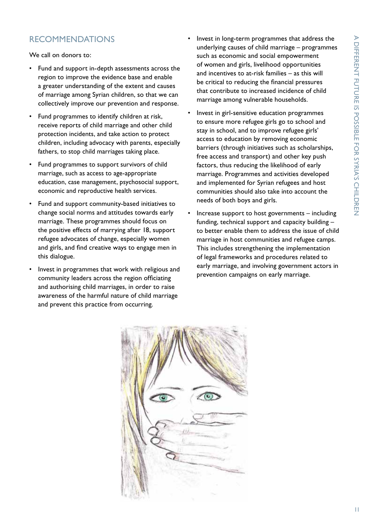#### RECOMMENDATIONS

We call on donors to:

- Fund and support in-depth assessments across the region to improve the evidence base and enable a greater understanding of the extent and causes of marriage among Syrian children, so that we can collectively improve our prevention and response.
- Fund programmes to identify children at risk, receive reports of child marriage and other child protection incidents, and take action to protect children, including advocacy with parents, especially fathers, to stop child marriages taking place.
- Fund programmes to support survivors of child marriage, such as access to age-appropriate education, case management, psychosocial support, economic and reproductive health services.
- Fund and support community-based initiatives to change social norms and attitudes towards early marriage. These programmes should focus on the positive effects of marrying after 18, support refugee advocates of change, especially women and girls, and find creative ways to engage men in this dialogue.
- Invest in programmes that work with religious and community leaders across the region officiating and authorising child marriages, in order to raise awareness of the harmful nature of child marriage and prevent this practice from occurring.
- Invest in long-term programmes that address the underlying causes of child marriage – programmes such as economic and social empowerment of women and girls, livelihood opportunities and incentives to at-risk families – as this will be critical to reducing the financial pressures that contribute to increased incidence of child marriage among vulnerable households.
- Invest in girl-sensitive education programmes to ensure more refugee girls go to school and stay in school, and to improve refugee girls' access to education by removing economic barriers (through initiatives such as scholarships, free access and transport) and other key push factors, thus reducing the likelihood of early marriage. Programmes and activities developed and implemented for Syrian refugees and host communities should also take into account the needs of both boys and girls.
- Increase support to host governments including funding, technical support and capacity building – to better enable them to address the issue of child marriage in host communities and refugee camps. This includes strengthening the implementation of legal frameworks and procedures related to early marriage, and involving government actors in prevention campaigns on early marriage.

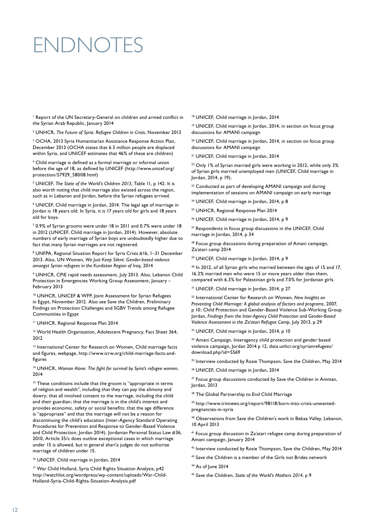## ENDNOTES

<sup>1</sup> Report of the UN Secretary-General on children and armed conflict in the Syrian Arab Republic, January 2014

2 UNHCR, *The Future of Syria: Refugee Children in Crisis*, November 2013

3 OCHA, 2013 Syria Humanitarian Assistance Response Action Plan, December 2013 (OCHA states that 6.5 million people are displaced within Syria, and UNICEF estimates that 46% of these are children)

4 Child marriage is defined as a formal marriage or informal union before the age of 18, as defined by UNICEF [\(http://www.unicef.org/](http://www.unicef.org/protection/57929_58008.html) [protection/57929\\_58008.html](http://www.unicef.org/protection/57929_58008.html))

5 UNICEF, *The State of the World's Children 2013*, Table 11, p 142. It is also worth noting that child marriage also existed across the region, such as in Lebanon and Jordan, before the Syrian refugees arrived.

6 UNICEF, Child marriage in Jordan, 2014. The legal age of marriage in Jordan is 18 years old. In Syria, it is 17 years old for girls and 18 years old for boys.

<sup>7</sup> 0.9% of Syrian grooms were under 18 in 2011 and 0.7% were under 18 in 2012 (UNICEF, Child marriage in Jordan, 2014). However, absolute numbers of early marriage of Syrian boys are undoubtedly higher due to fact that many Syrian marriages are not registered.

<sup>8</sup> UNFPA, Regional Situation Report for Syria Crisis #16, 1–31 December 2013. Also, UN Women, *We Just Keep Silent: Gender-based violence amongst Syrian refugees in the Kurdistan Region of Iraq*, 2014

9 UNHCR, CPiE rapid needs assessment, July 2013. Also, Lebanon Child Protection in Emergencies Working Group Assessment, January – February 2013

10 UNHCR, UNICEF & WFP, Joint Assessment for Syrian Refugees in Egypt, November 2012. Also see Save the Children, Preliminary Findings on Protection Challenges and SGBV Trends among Refugee Communities in Egypt

11 UNHCR, Regional Response Plan 2014

<sup>12</sup> World Health Organization, Adolescent Pregnancy, Fact Sheet 364, 2012

<sup>13</sup> International Center for Research on Women, Child marriage facts and figures, webpage, [http://www.icrw.org/child-marriage-facts-and](http://www.icrw.org/child-marriage-facts-and-figures)[figures](http://www.icrw.org/child-marriage-facts-and-figures)

14 UNHCR, *Woman Alone: The fight for survival by Syria's refugee women*, 2014

<sup>15</sup> These conditions include that the groom is "appropriate in terms of religion and wealth", including that they can pay the alimony and dowry; that all involved consent to the marriage, including the child and their guardian; that the marriage is in the child's interest and provides economic, safety or social benefits; that the age difference is "appropriate" and that the marriage will not be a reason for discontinuing the child's education (Inter-Agency Standard Operating Procedures for Prevention and Response to Gender-Based Violence and Child Protection, Jordan 2014). Jordanian Personal Status Law #36, 2010, Article 35/c does outline exceptional cases in which marriage under 15 is allowed, but in general shari'a judges do not authorise marriage of children under 15.

16 UNICEF, Child marriage in Jordan, 2014

17 War Child Holland, Syria Child Rights Situation Analysis, p42 [http://watchlist.org/wordpress/wp-content/uploads/War-Child-](http://watchlist.org/wordpress/wp-content/uploads/War-Child-Holland-Syria-Child-Rights-Situation-Analysis.pdf)[Holland-Syria-Child-Rights-Situation-Analysis.pdf](http://watchlist.org/wordpress/wp-content/uploads/War-Child-Holland-Syria-Child-Rights-Situation-Analysis.pdf)

18 UNICEF, Child marriage in Jordan, 2014

19 UNICEF, Child marriage in Jordan, 2014, in section on focus group discussions for AMANI campaign

<sup>20</sup> UNICEF, Child marriage in Jordan, 2014, in section on focus group discussions for AMANI campaign

21 UNICEF, Child marriage in Jordan, 2014

<sup>22</sup> Only 1% of Syrian married girls were working in 2012, while only 3% of Syrian girls married unemployed men (UNICEF, Child marriage in Jordan, 2014, p 19).

<sup>23</sup> Conducted as part of developing AMANI campaign and during implementation of sessions on AMANI campaign on early marriage

24 UNICEF, Child marriage in Jordan, 2014, p 8

25 UNHCR, Regional Response Plan 2014

26 UNICEF, Child marriage in Jordan, 2014, p 9

<sup>27</sup> Respondents in focus group discussions in the UNICEF, Child marriage in Jordan, 2014, p 34

28 Focus group discussions during preparation of Amani campaign, Za'atari camp 2014

29 UNICEF, Child marriage in Jordan, 2014, p 9

<sup>30</sup> In 2012, of all Syrian girls who married between the ages of 15 and 17, 16.2% married men who were 15 or more years older than them, compared with 6.3% for Palestinian girls and 7.0% for Jordanian girls.

<sup>31</sup> UNICEF, Child marriage in Jordan, 2014, p 27

32 International Center for Research on Women, *New Insights on Preventing Child Marriage: A global analysis of factors and programs*, 2007, p 10; Child Protection and Gender-Based Violence Sub-Working Group Jordan, *Findings from the Inter-Agency Child Protection and Gender-Based Violence Assessment in the Za'atari Refugee Camp*, July 2013, p 29

33 UNICEF, Child marriage in Jordan, 2014, p 10

<sup>34</sup> Amani Campaign, Interagency child protection and gender based violence campaign, Jordan 2014 p 12, [data.unhcr.org/syrianrefugees/](data.unhcr.org/syrianrefugees/download.php%3Fid%3D5569) [download.php?id=5569](data.unhcr.org/syrianrefugees/download.php%3Fid%3D5569)

<sup>35</sup> Interview conducted by Rosie Thompson, Save the Children, May 2014

36 UNICEF, Child marriage in Jordan, 2014

<sup>37</sup> Focus group discussions conducted by Save the Children in Amman, Jordan, 2013

<sup>38</sup> The Global Partnership to End Child Marriage

<sup>39</sup> [http://www.irinnews.org/report/98118/born-into-crisis-unwanted](http://www.irinnews.org/report/98118/born-into-crisis-unwanted-pregnancies-in-syria)[pregnancies-in-syria](http://www.irinnews.org/report/98118/born-into-crisis-unwanted-pregnancies-in-syria)

40 Observations from Save the Children's work in Bekaa Valley, Lebanon, 10 April 2013

41 Focus group discussion in Za'atari refugee camp during preparation of Amani campaign, January 2014

<sup>42</sup> Interview conducted by Rosie Thompson, Save the Children, May 2014

<sup>43</sup> Save the Children is a member of the Girls not Brides network

44 As of June 2014

45 Save the Children, *State of the World's Mothers 2014*, p 9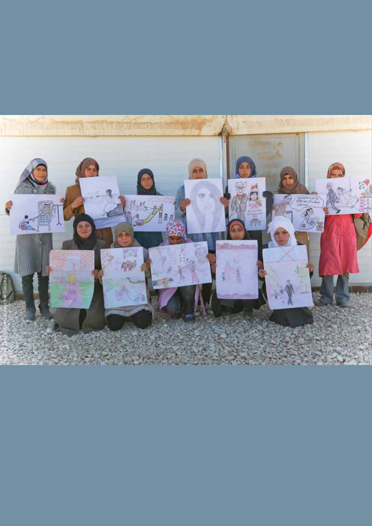